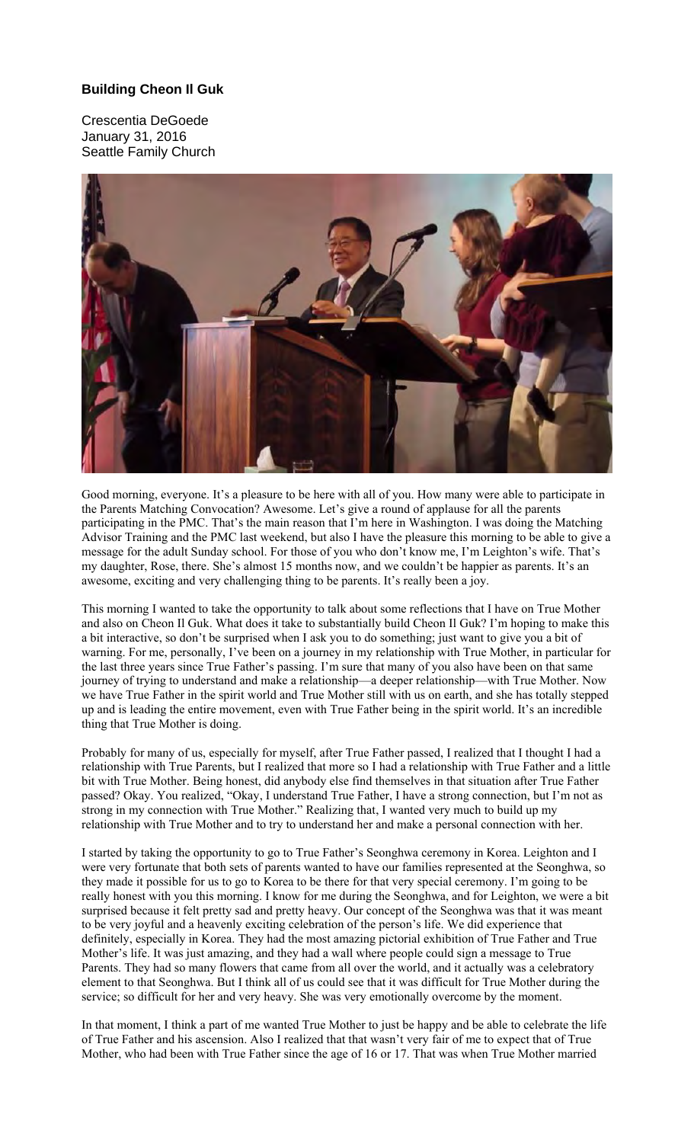## **Building Cheon Il Guk**

Crescentia DeGoede January 31, 2016 Seattle Family Church



Good morning, everyone. It's a pleasure to be here with all of you. How many were able to participate in the Parents Matching Convocation? Awesome. Let's give a round of applause for all the parents participating in the PMC. That's the main reason that I'm here in Washington. I was doing the Matching Advisor Training and the PMC last weekend, but also I have the pleasure this morning to be able to give a message for the adult Sunday school. For those of you who don't know me, I'm Leighton's wife. That's my daughter, Rose, there. She's almost 15 months now, and we couldn't be happier as parents. It's an awesome, exciting and very challenging thing to be parents. It's really been a joy.

This morning I wanted to take the opportunity to talk about some reflections that I have on True Mother and also on Cheon Il Guk. What does it take to substantially build Cheon Il Guk? I'm hoping to make this a bit interactive, so don't be surprised when I ask you to do something; just want to give you a bit of warning. For me, personally, I've been on a journey in my relationship with True Mother, in particular for the last three years since True Father's passing. I'm sure that many of you also have been on that same journey of trying to understand and make a relationship—a deeper relationship—with True Mother. Now we have True Father in the spirit world and True Mother still with us on earth, and she has totally stepped up and is leading the entire movement, even with True Father being in the spirit world. It's an incredible thing that True Mother is doing.

Probably for many of us, especially for myself, after True Father passed, I realized that I thought I had a relationship with True Parents, but I realized that more so I had a relationship with True Father and a little bit with True Mother. Being honest, did anybody else find themselves in that situation after True Father passed? Okay. You realized, "Okay, I understand True Father, I have a strong connection, but I'm not as strong in my connection with True Mother." Realizing that, I wanted very much to build up my relationship with True Mother and to try to understand her and make a personal connection with her.

I started by taking the opportunity to go to True Father's Seonghwa ceremony in Korea. Leighton and I were very fortunate that both sets of parents wanted to have our families represented at the Seonghwa, so they made it possible for us to go to Korea to be there for that very special ceremony. I'm going to be really honest with you this morning. I know for me during the Seonghwa, and for Leighton, we were a bit surprised because it felt pretty sad and pretty heavy. Our concept of the Seonghwa was that it was meant to be very joyful and a heavenly exciting celebration of the person's life. We did experience that definitely, especially in Korea. They had the most amazing pictorial exhibition of True Father and True Mother's life. It was just amazing, and they had a wall where people could sign a message to True Parents. They had so many flowers that came from all over the world, and it actually was a celebratory element to that Seonghwa. But I think all of us could see that it was difficult for True Mother during the service; so difficult for her and very heavy. She was very emotionally overcome by the moment.

In that moment, I think a part of me wanted True Mother to just be happy and be able to celebrate the life of True Father and his ascension. Also I realized that that wasn't very fair of me to expect that of True Mother, who had been with True Father since the age of 16 or 17. That was when True Mother married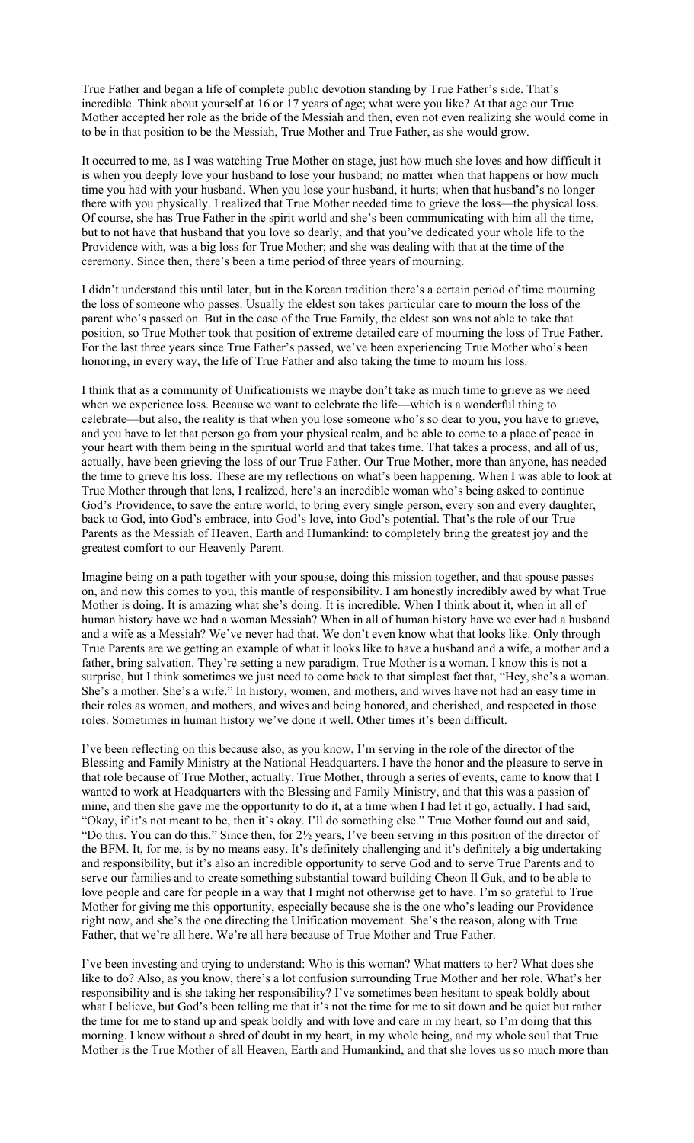True Father and began a life of complete public devotion standing by True Father's side. That's incredible. Think about yourself at 16 or 17 years of age; what were you like? At that age our True Mother accepted her role as the bride of the Messiah and then, even not even realizing she would come in to be in that position to be the Messiah, True Mother and True Father, as she would grow.

It occurred to me, as I was watching True Mother on stage, just how much she loves and how difficult it is when you deeply love your husband to lose your husband; no matter when that happens or how much time you had with your husband. When you lose your husband, it hurts; when that husband's no longer there with you physically. I realized that True Mother needed time to grieve the loss—the physical loss. Of course, she has True Father in the spirit world and she's been communicating with him all the time, but to not have that husband that you love so dearly, and that you've dedicated your whole life to the Providence with, was a big loss for True Mother; and she was dealing with that at the time of the ceremony. Since then, there's been a time period of three years of mourning.

I didn't understand this until later, but in the Korean tradition there's a certain period of time mourning the loss of someone who passes. Usually the eldest son takes particular care to mourn the loss of the parent who's passed on. But in the case of the True Family, the eldest son was not able to take that position, so True Mother took that position of extreme detailed care of mourning the loss of True Father. For the last three years since True Father's passed, we've been experiencing True Mother who's been honoring, in every way, the life of True Father and also taking the time to mourn his loss.

I think that as a community of Unificationists we maybe don't take as much time to grieve as we need when we experience loss. Because we want to celebrate the life—which is a wonderful thing to celebrate—but also, the reality is that when you lose someone who's so dear to you, you have to grieve, and you have to let that person go from your physical realm, and be able to come to a place of peace in your heart with them being in the spiritual world and that takes time. That takes a process, and all of us, actually, have been grieving the loss of our True Father. Our True Mother, more than anyone, has needed the time to grieve his loss. These are my reflections on what's been happening. When I was able to look at True Mother through that lens, I realized, here's an incredible woman who's being asked to continue God's Providence, to save the entire world, to bring every single person, every son and every daughter, back to God, into God's embrace, into God's love, into God's potential. That's the role of our True Parents as the Messiah of Heaven, Earth and Humankind: to completely bring the greatest joy and the greatest comfort to our Heavenly Parent.

Imagine being on a path together with your spouse, doing this mission together, and that spouse passes on, and now this comes to you, this mantle of responsibility. I am honestly incredibly awed by what True Mother is doing. It is amazing what she's doing. It is incredible. When I think about it, when in all of human history have we had a woman Messiah? When in all of human history have we ever had a husband and a wife as a Messiah? We've never had that. We don't even know what that looks like. Only through True Parents are we getting an example of what it looks like to have a husband and a wife, a mother and a father, bring salvation. They're setting a new paradigm. True Mother is a woman. I know this is not a surprise, but I think sometimes we just need to come back to that simplest fact that, "Hey, she's a woman. She's a mother. She's a wife." In history, women, and mothers, and wives have not had an easy time in their roles as women, and mothers, and wives and being honored, and cherished, and respected in those roles. Sometimes in human history we've done it well. Other times it's been difficult.

I've been reflecting on this because also, as you know, I'm serving in the role of the director of the Blessing and Family Ministry at the National Headquarters. I have the honor and the pleasure to serve in that role because of True Mother, actually. True Mother, through a series of events, came to know that I wanted to work at Headquarters with the Blessing and Family Ministry, and that this was a passion of mine, and then she gave me the opportunity to do it, at a time when I had let it go, actually. I had said, "Okay, if it's not meant to be, then it's okay. I'll do something else." True Mother found out and said, "Do this. You can do this." Since then, for 2½ years, I've been serving in this position of the director of the BFM. It, for me, is by no means easy. It's definitely challenging and it's definitely a big undertaking and responsibility, but it's also an incredible opportunity to serve God and to serve True Parents and to serve our families and to create something substantial toward building Cheon Il Guk, and to be able to love people and care for people in a way that I might not otherwise get to have. I'm so grateful to True Mother for giving me this opportunity, especially because she is the one who's leading our Providence right now, and she's the one directing the Unification movement. She's the reason, along with True Father, that we're all here. We're all here because of True Mother and True Father.

I've been investing and trying to understand: Who is this woman? What matters to her? What does she like to do? Also, as you know, there's a lot confusion surrounding True Mother and her role. What's her responsibility and is she taking her responsibility? I've sometimes been hesitant to speak boldly about what I believe, but God's been telling me that it's not the time for me to sit down and be quiet but rather the time for me to stand up and speak boldly and with love and care in my heart, so I'm doing that this morning. I know without a shred of doubt in my heart, in my whole being, and my whole soul that True Mother is the True Mother of all Heaven, Earth and Humankind, and that she loves us so much more than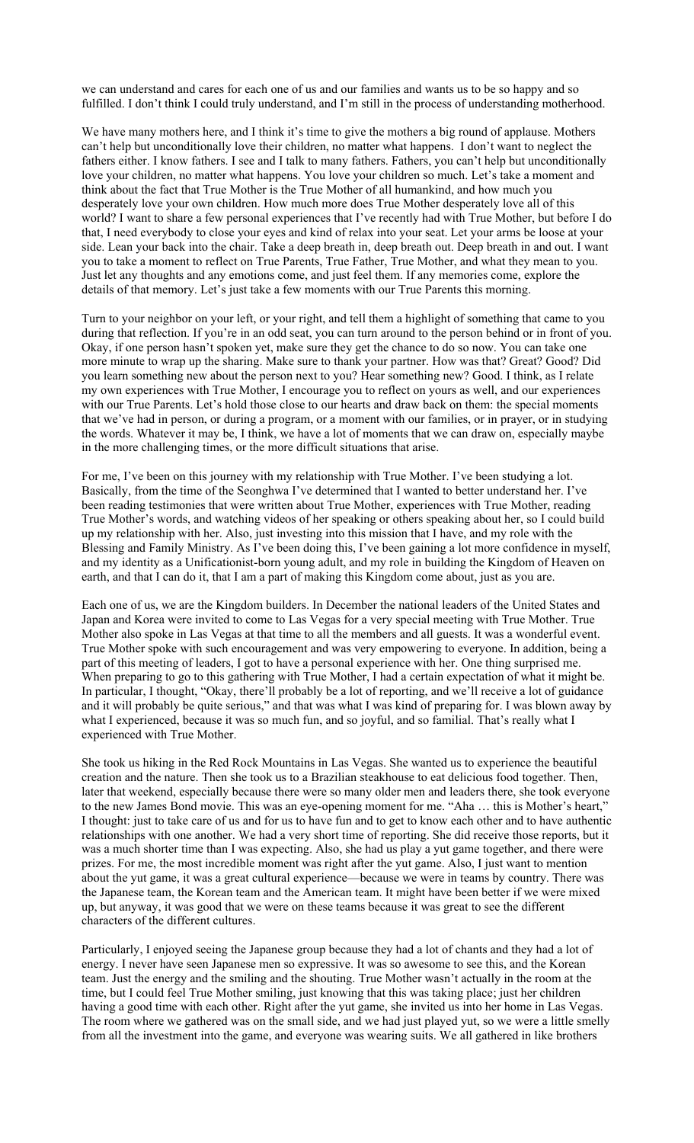we can understand and cares for each one of us and our families and wants us to be so happy and so fulfilled. I don't think I could truly understand, and I'm still in the process of understanding motherhood.

We have many mothers here, and I think it's time to give the mothers a big round of applause. Mothers can't help but unconditionally love their children, no matter what happens. I don't want to neglect the fathers either. I know fathers. I see and I talk to many fathers. Fathers, you can't help but unconditionally love your children, no matter what happens. You love your children so much. Let's take a moment and think about the fact that True Mother is the True Mother of all humankind, and how much you desperately love your own children. How much more does True Mother desperately love all of this world? I want to share a few personal experiences that I've recently had with True Mother, but before I do that, I need everybody to close your eyes and kind of relax into your seat. Let your arms be loose at your side. Lean your back into the chair. Take a deep breath in, deep breath out. Deep breath in and out. I want you to take a moment to reflect on True Parents, True Father, True Mother, and what they mean to you. Just let any thoughts and any emotions come, and just feel them. If any memories come, explore the details of that memory. Let's just take a few moments with our True Parents this morning.

Turn to your neighbor on your left, or your right, and tell them a highlight of something that came to you during that reflection. If you're in an odd seat, you can turn around to the person behind or in front of you. Okay, if one person hasn't spoken yet, make sure they get the chance to do so now. You can take one more minute to wrap up the sharing. Make sure to thank your partner. How was that? Great? Good? Did you learn something new about the person next to you? Hear something new? Good. I think, as I relate my own experiences with True Mother, I encourage you to reflect on yours as well, and our experiences with our True Parents. Let's hold those close to our hearts and draw back on them: the special moments that we've had in person, or during a program, or a moment with our families, or in prayer, or in studying the words. Whatever it may be, I think, we have a lot of moments that we can draw on, especially maybe in the more challenging times, or the more difficult situations that arise.

For me, I've been on this journey with my relationship with True Mother. I've been studying a lot. Basically, from the time of the Seonghwa I've determined that I wanted to better understand her. I've been reading testimonies that were written about True Mother, experiences with True Mother, reading True Mother's words, and watching videos of her speaking or others speaking about her, so I could build up my relationship with her. Also, just investing into this mission that I have, and my role with the Blessing and Family Ministry. As I've been doing this, I've been gaining a lot more confidence in myself, and my identity as a Unificationist-born young adult, and my role in building the Kingdom of Heaven on earth, and that I can do it, that I am a part of making this Kingdom come about, just as you are.

Each one of us, we are the Kingdom builders. In December the national leaders of the United States and Japan and Korea were invited to come to Las Vegas for a very special meeting with True Mother. True Mother also spoke in Las Vegas at that time to all the members and all guests. It was a wonderful event. True Mother spoke with such encouragement and was very empowering to everyone. In addition, being a part of this meeting of leaders, I got to have a personal experience with her. One thing surprised me. When preparing to go to this gathering with True Mother, I had a certain expectation of what it might be. In particular, I thought, "Okay, there'll probably be a lot of reporting, and we'll receive a lot of guidance and it will probably be quite serious," and that was what I was kind of preparing for. I was blown away by what I experienced, because it was so much fun, and so joyful, and so familial. That's really what I experienced with True Mother.

She took us hiking in the Red Rock Mountains in Las Vegas. She wanted us to experience the beautiful creation and the nature. Then she took us to a Brazilian steakhouse to eat delicious food together. Then, later that weekend, especially because there were so many older men and leaders there, she took everyone to the new James Bond movie. This was an eye-opening moment for me. "Aha … this is Mother's heart," I thought: just to take care of us and for us to have fun and to get to know each other and to have authentic relationships with one another. We had a very short time of reporting. She did receive those reports, but it was a much shorter time than I was expecting. Also, she had us play a yut game together, and there were prizes. For me, the most incredible moment was right after the yut game. Also, I just want to mention about the yut game, it was a great cultural experience—because we were in teams by country. There was the Japanese team, the Korean team and the American team. It might have been better if we were mixed up, but anyway, it was good that we were on these teams because it was great to see the different characters of the different cultures.

Particularly, I enjoyed seeing the Japanese group because they had a lot of chants and they had a lot of energy. I never have seen Japanese men so expressive. It was so awesome to see this, and the Korean team. Just the energy and the smiling and the shouting. True Mother wasn't actually in the room at the time, but I could feel True Mother smiling, just knowing that this was taking place; just her children having a good time with each other. Right after the yut game, she invited us into her home in Las Vegas. The room where we gathered was on the small side, and we had just played yut, so we were a little smelly from all the investment into the game, and everyone was wearing suits. We all gathered in like brothers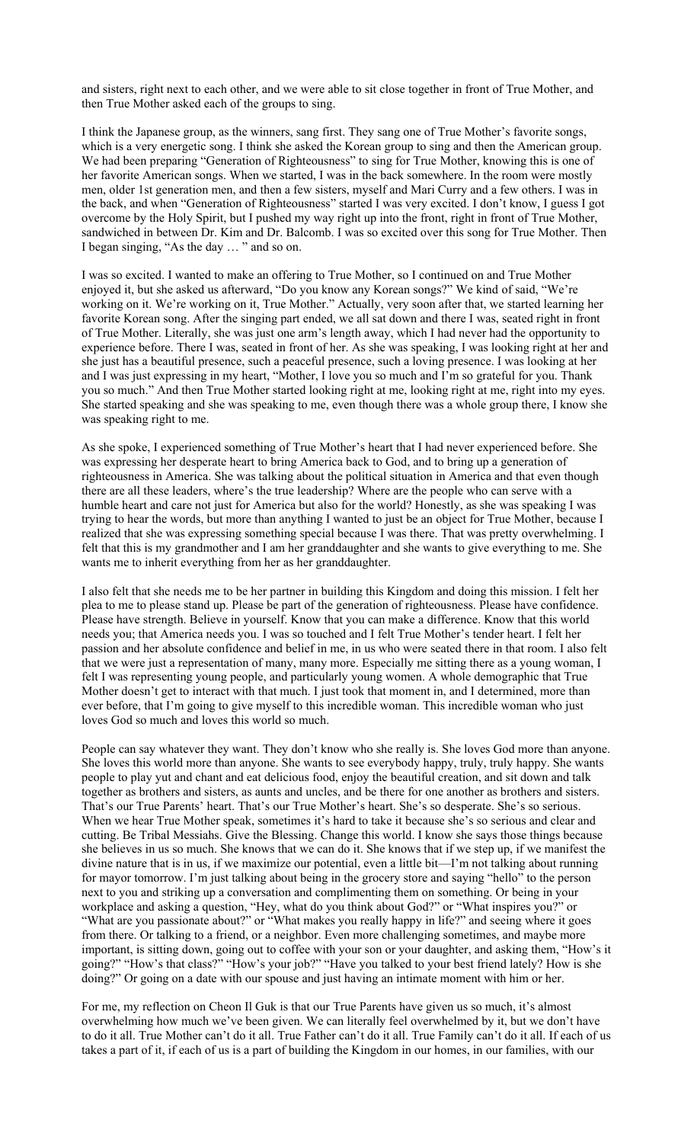and sisters, right next to each other, and we were able to sit close together in front of True Mother, and then True Mother asked each of the groups to sing.

I think the Japanese group, as the winners, sang first. They sang one of True Mother's favorite songs, which is a very energetic song. I think she asked the Korean group to sing and then the American group. We had been preparing "Generation of Righteousness" to sing for True Mother, knowing this is one of her favorite American songs. When we started, I was in the back somewhere. In the room were mostly men, older 1st generation men, and then a few sisters, myself and Mari Curry and a few others. I was in the back, and when "Generation of Righteousness" started I was very excited. I don't know, I guess I got overcome by the Holy Spirit, but I pushed my way right up into the front, right in front of True Mother, sandwiched in between Dr. Kim and Dr. Balcomb. I was so excited over this song for True Mother. Then I began singing, "As the day … " and so on.

I was so excited. I wanted to make an offering to True Mother, so I continued on and True Mother enjoyed it, but she asked us afterward, "Do you know any Korean songs?" We kind of said, "We're working on it. We're working on it, True Mother." Actually, very soon after that, we started learning her favorite Korean song. After the singing part ended, we all sat down and there I was, seated right in front of True Mother. Literally, she was just one arm's length away, which I had never had the opportunity to experience before. There I was, seated in front of her. As she was speaking, I was looking right at her and she just has a beautiful presence, such a peaceful presence, such a loving presence. I was looking at her and I was just expressing in my heart, "Mother, I love you so much and I'm so grateful for you. Thank you so much." And then True Mother started looking right at me, looking right at me, right into my eyes. She started speaking and she was speaking to me, even though there was a whole group there, I know she was speaking right to me.

As she spoke, I experienced something of True Mother's heart that I had never experienced before. She was expressing her desperate heart to bring America back to God, and to bring up a generation of righteousness in America. She was talking about the political situation in America and that even though there are all these leaders, where's the true leadership? Where are the people who can serve with a humble heart and care not just for America but also for the world? Honestly, as she was speaking I was trying to hear the words, but more than anything I wanted to just be an object for True Mother, because I realized that she was expressing something special because I was there. That was pretty overwhelming. I felt that this is my grandmother and I am her granddaughter and she wants to give everything to me. She wants me to inherit everything from her as her granddaughter.

I also felt that she needs me to be her partner in building this Kingdom and doing this mission. I felt her plea to me to please stand up. Please be part of the generation of righteousness. Please have confidence. Please have strength. Believe in yourself. Know that you can make a difference. Know that this world needs you; that America needs you. I was so touched and I felt True Mother's tender heart. I felt her passion and her absolute confidence and belief in me, in us who were seated there in that room. I also felt that we were just a representation of many, many more. Especially me sitting there as a young woman, I felt I was representing young people, and particularly young women. A whole demographic that True Mother doesn't get to interact with that much. I just took that moment in, and I determined, more than ever before, that I'm going to give myself to this incredible woman. This incredible woman who just loves God so much and loves this world so much.

People can say whatever they want. They don't know who she really is. She loves God more than anyone. She loves this world more than anyone. She wants to see everybody happy, truly, truly happy. She wants people to play yut and chant and eat delicious food, enjoy the beautiful creation, and sit down and talk together as brothers and sisters, as aunts and uncles, and be there for one another as brothers and sisters. That's our True Parents' heart. That's our True Mother's heart. She's so desperate. She's so serious. When we hear True Mother speak, sometimes it's hard to take it because she's so serious and clear and cutting. Be Tribal Messiahs. Give the Blessing. Change this world. I know she says those things because she believes in us so much. She knows that we can do it. She knows that if we step up, if we manifest the divine nature that is in us, if we maximize our potential, even a little bit—I'm not talking about running for mayor tomorrow. I'm just talking about being in the grocery store and saying "hello" to the person next to you and striking up a conversation and complimenting them on something. Or being in your workplace and asking a question, "Hey, what do you think about God?" or "What inspires you?" or "What are you passionate about?" or "What makes you really happy in life?" and seeing where it goes from there. Or talking to a friend, or a neighbor. Even more challenging sometimes, and maybe more important, is sitting down, going out to coffee with your son or your daughter, and asking them, "How's it going?" "How's that class?" "How's your job?" "Have you talked to your best friend lately? How is she doing?" Or going on a date with our spouse and just having an intimate moment with him or her.

For me, my reflection on Cheon Il Guk is that our True Parents have given us so much, it's almost overwhelming how much we've been given. We can literally feel overwhelmed by it, but we don't have to do it all. True Mother can't do it all. True Father can't do it all. True Family can't do it all. If each of us takes a part of it, if each of us is a part of building the Kingdom in our homes, in our families, with our